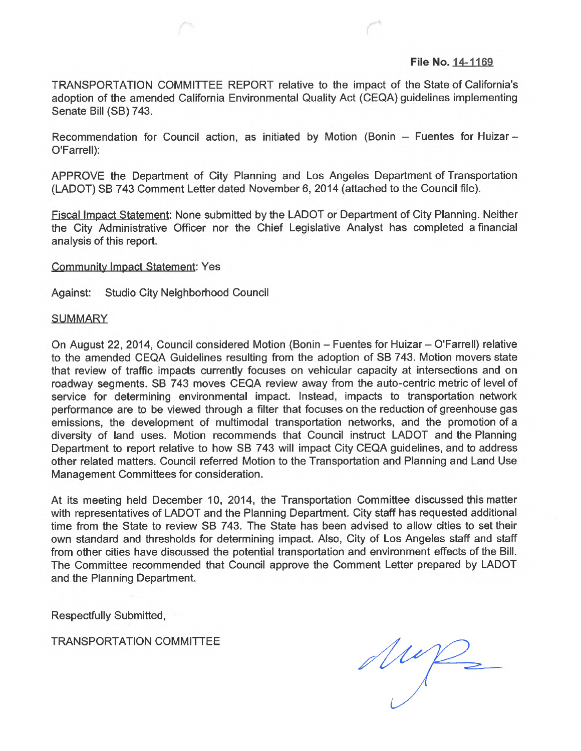## **File No. 14-1169**

TRANSPORTATION COMMITTEE REPORT relative to the impact of the State of California's adoption of the amended California Environmental Quality Act (CEQA) guidelines implementing Senate Bill (SB) 743.

Recommendation for Council action, as initiated by Motion (Bonin  $-$  Fuentes for Huizar $-$ O'Farrell):

APPROVE the Department of City Planning and Los Angeles Department of Transportation (LADOT) SB 743 Comment Letter dated November 6, 2014 (attached to the Council file).

Fiscal Impact Statement: None submitted by the LADOT or Department of City Planning. Neither the City Administrative Officer nor the Chief Legislative Analyst has completed a financial analysis of this report.

Community Impact Statement: Yes

Against: Studio City Neighborhood Council

## **SUMMARY**

On August 22, 2014, Council considered Motion (Bonin - Fuentes for Huizar - O'Farrell) relative to the amended CEQA Guidelines resulting from the adoption of SB 743. Motion movers state that review of traffic impacts currently focuses on vehicular capacity at intersections and on roadway segments. SB 743 moves CEQA review away from the auto-centric metric of level of service for determining environmental impact. Instead, impacts to transportation network performance are to be viewed through a filter that focuses on the reduction of greenhouse gas emissions, the development of multimodal transportation networks, and the promotion of a diversity of land uses. Motion recommends that Council instruct LADOT and the Planning Department to report relative to how SB 743 will impact City CEQA guidelines, and to address other related matters. Council referred Motion to the Transportation and Planning and Land Use Management Committees for consideration.

At its meeting held December 10, 2014, the Transportation Committee discussed this matter with representatives of LADOT and the Planning Department. City staff has requested additional time from the State to review SB 743. The State has been advised to allow cities to set their own standard and thresholds for determining impact. Also, City of Los Angeles staff and staff from other cities have discussed the potential transportation and environment effects of the Bill. The Committee recommended that Council approve the Comment Letter prepared by LADOT and the Planning Department.

Respectfully Submitted,

TRANSPORTATION COMMITTEE

Mup